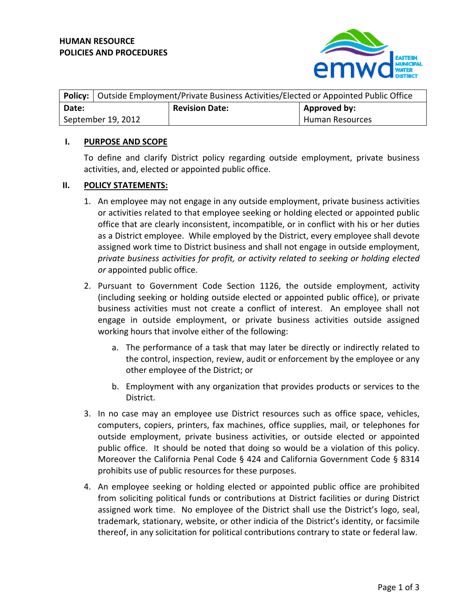

| <b>Policy:</b>   Outside Employment/Private Business Activities/Elected or Appointed Public Office |                       |                        |
|----------------------------------------------------------------------------------------------------|-----------------------|------------------------|
| Date:                                                                                              | <b>Revision Date:</b> | Approved by:           |
| September 19, 2012                                                                                 |                       | <b>Human Resources</b> |

## **I. PURPOSE AND SCOPE**

To define and clarify District policy regarding outside employment, private business activities, and, elected or appointed public office.

## **II. POLICY STATEMENTS:**

- 1. An employee may not engage in any outside employment, private business activities or activities related to that employee seeking or holding elected or appointed public office that are clearly inconsistent, incompatible, or in conflict with his or her duties as a District employee. While employed by the District, every employee shall devote assigned work time to District business and shall not engage in outside employment, *private business activities for profit, or activity related to seeking or holding elected or* appointed public office.
- 2. Pursuant to Government Code Section 1126, the outside employment, activity (including seeking or holding outside elected or appointed public office), or private business activities must not create a conflict of interest. An employee shall not engage in outside employment, or private business activities outside assigned working hours that involve either of the following:
	- a. The performance of a task that may later be directly or indirectly related to the control, inspection, review, audit or enforcement by the employee or any other employee of the District; or
	- b. Employment with any organization that provides products or services to the District.
- 3. In no case may an employee use District resources such as office space, vehicles, computers, copiers, printers, fax machines, office supplies, mail, or telephones for outside employment, private business activities, or outside elected or appointed public office. It should be noted that doing so would be a violation of this policy. Moreover the California Penal Code § 424 and California Government Code § 8314 prohibits use of public resources for these purposes.
- 4. An employee seeking or holding elected or appointed public office are prohibited from soliciting political funds or contributions at District facilities or during District assigned work time. No employee of the District shall use the District's logo, seal, trademark, stationary, website, or other indicia of the District's identity, or facsimile thereof, in any solicitation for political contributions contrary to state or federal law.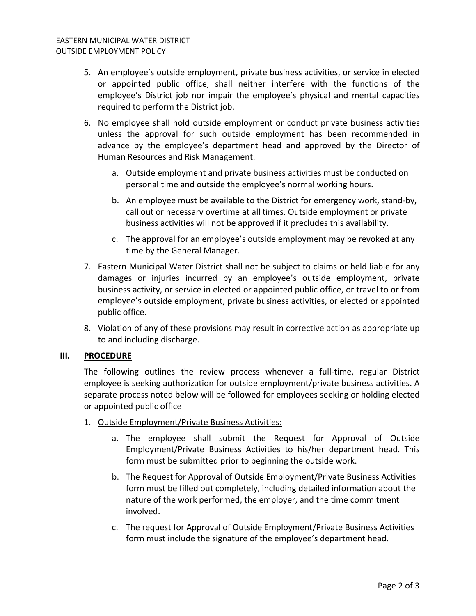- 5. An employee's outside employment, private business activities, or service in elected or appointed public office, shall neither interfere with the functions of the employee's District job nor impair the employee's physical and mental capacities required to perform the District job.
- 6. No employee shall hold outside employment or conduct private business activities unless the approval for such outside employment has been recommended in advance by the employee's department head and approved by the Director of Human Resources and Risk Management.
	- a. Outside employment and private business activities must be conducted on personal time and outside the employee's normal working hours.
	- b. An employee must be available to the District for emergency work, stand‐by, call out or necessary overtime at all times. Outside employment or private business activities will not be approved if it precludes this availability.
	- c. The approval for an employee's outside employment may be revoked at any time by the General Manager.
- 7. Eastern Municipal Water District shall not be subject to claims or held liable for any damages or injuries incurred by an employee's outside employment, private business activity, or service in elected or appointed public office, or travel to or from employee's outside employment, private business activities, or elected or appointed public office.
- 8. Violation of any of these provisions may result in corrective action as appropriate up to and including discharge.

## **III. PROCEDURE**

The following outlines the review process whenever a full-time, regular District employee is seeking authorization for outside employment/private business activities. A separate process noted below will be followed for employees seeking or holding elected or appointed public office

- 1. Outside Employment/Private Business Activities:
	- a. The employee shall submit the Request for Approval of Outside Employment/Private Business Activities to his/her department head. This form must be submitted prior to beginning the outside work.
	- b. The Request for Approval of Outside Employment/Private Business Activities form must be filled out completely, including detailed information about the nature of the work performed, the employer, and the time commitment involved.
	- c. The request for Approval of Outside Employment/Private Business Activities form must include the signature of the employee's department head.